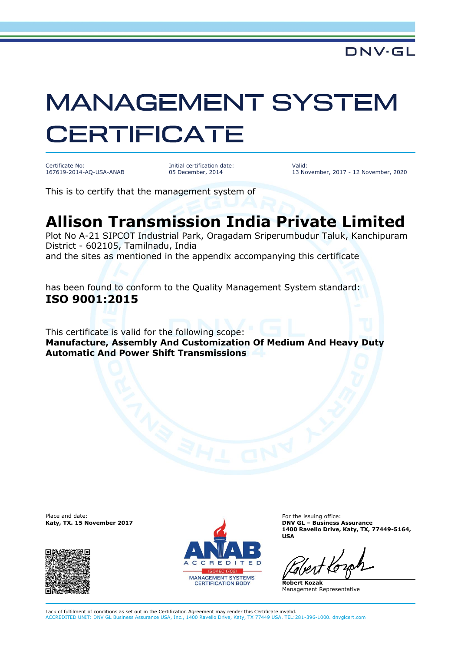## **MANAGEMENT SYSTEM CERTIFICATE**

Certificate No: 167619-2014-AQ-USA-ANAB

Initial certification date: 05 December, 2014

Valid: 13 November, 2017 - 12 November, 2020

This is to certify that the management system of

## **Allison Transmission India Private Limited**

Plot No A-21 SIPCOT Industrial Park, Oragadam Sriperumbudur Taluk, Kanchipuram District - 602105, Tamilnadu, India and the sites as mentioned in the appendix accompanying this certificate

has been found to conform to the Quality Management System standard: **ISO 9001:2015**

This certificate is valid for the following scope: **Manufacture, Assembly And Customization Of Medium And Heavy Duty Automatic And Power Shift Transmissions**

Place and date:<br>Katy, TX. 15 November 2017





For the issuing office: **Katy, TX. 15 November 2017 DNV GL – Business Assurance 1400 Ravello Drive, Katy, TX, 77449-5164, USA**

**Robert Kozak** Management Representative

Lack of fulfilment of conditions as set out in the Certification Agreement may render this Certificate invalid. ACCREDITED UNIT: DNV GL Business Assurance USA, Inc., 1400 Ravello Drive, Katy, TX 77449 USA. TEL:281-396-1000. dnvglcert.com